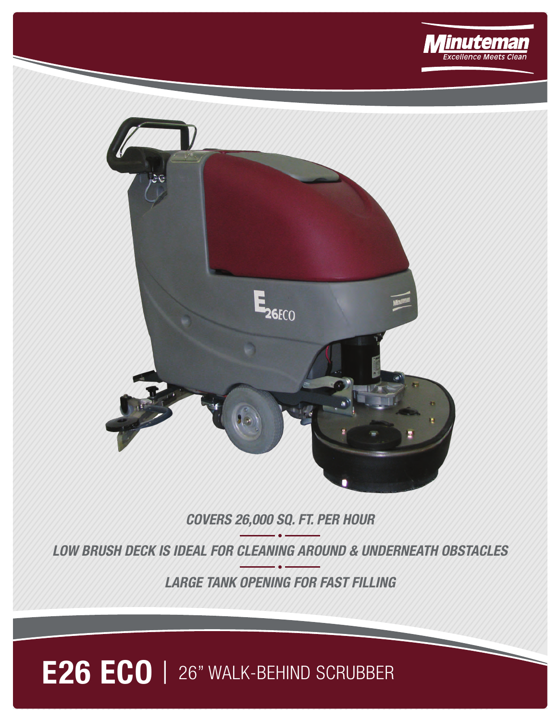



## **COVERS 26,000 SQ. FT. PER HOUR**

**LOW BRUSH DECK IS IDEAL FOR CLEANING AROUND & UNDERNEATH OBSTACLES**

**LARGE TANK OPENING FOR FAST FILLING**

## **E26 ECO** | 26" WALK-BEHIND SCRUBBER